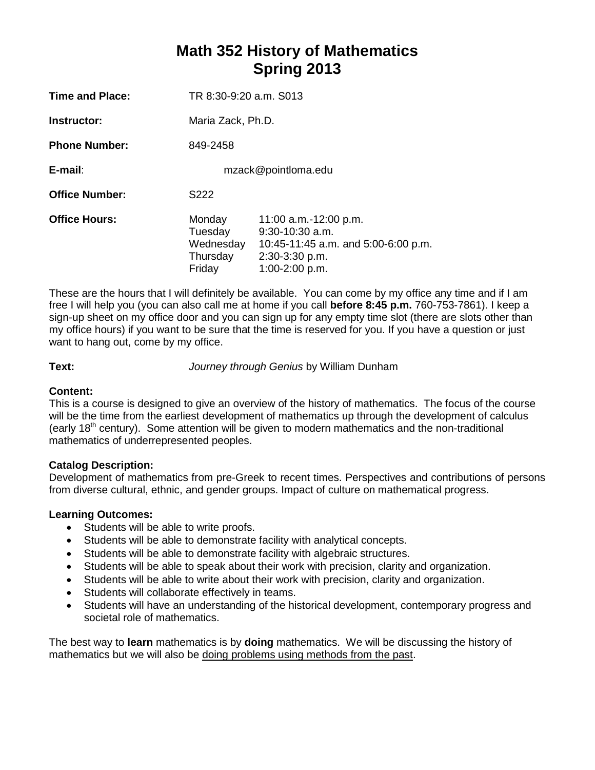# **Math 352 History of Mathematics Spring 2013**

| Time and Place:       | TR 8:30-9:20 a.m. S013                               |                                                                                                                         |  |
|-----------------------|------------------------------------------------------|-------------------------------------------------------------------------------------------------------------------------|--|
| Instructor:           | Maria Zack, Ph.D.                                    |                                                                                                                         |  |
| <b>Phone Number:</b>  | 849-2458                                             |                                                                                                                         |  |
| E-mail:               | mzack@pointloma.edu                                  |                                                                                                                         |  |
| <b>Office Number:</b> | S222                                                 |                                                                                                                         |  |
| <b>Office Hours:</b>  | Monday<br>Tuesday<br>Wednesday<br>Thursday<br>Friday | 11:00 a.m.-12:00 p.m.<br>$9:30-10:30$ a.m.<br>10:45-11:45 a.m. and 5:00-6:00 p.m.<br>2:30-3:30 p.m.<br>$1:00-2:00$ p.m. |  |

These are the hours that I will definitely be available. You can come by my office any time and if I am free I will help you (you can also call me at home if you call **before 8:45 p.m.** 760-753-7861). I keep a sign-up sheet on my office door and you can sign up for any empty time slot (there are slots other than my office hours) if you want to be sure that the time is reserved for you. If you have a question or just want to hang out, come by my office.

**Text:** *Journey through Genius* by William Dunham

# **Content:**

This is a course is designed to give an overview of the history of mathematics. The focus of the course will be the time from the earliest development of mathematics up through the development of calculus (early 18<sup>th</sup> century). Some attention will be given to modern mathematics and the non-traditional mathematics of underrepresented peoples.

## **Catalog Description:**

Development of mathematics from pre-Greek to recent times. Perspectives and contributions of persons from diverse cultural, ethnic, and gender groups. Impact of culture on mathematical progress.

## **Learning Outcomes:**

- Students will be able to write proofs.
- Students will be able to demonstrate facility with analytical concepts.
- Students will be able to demonstrate facility with algebraic structures.
- Students will be able to speak about their work with precision, clarity and organization.
- Students will be able to write about their work with precision, clarity and organization.
- Students will collaborate effectively in teams.
- Students will have an understanding of the historical development, contemporary progress and societal role of mathematics.

The best way to **learn** mathematics is by **doing** mathematics.We will be discussing the history of mathematics but we will also be doing problems using methods from the past.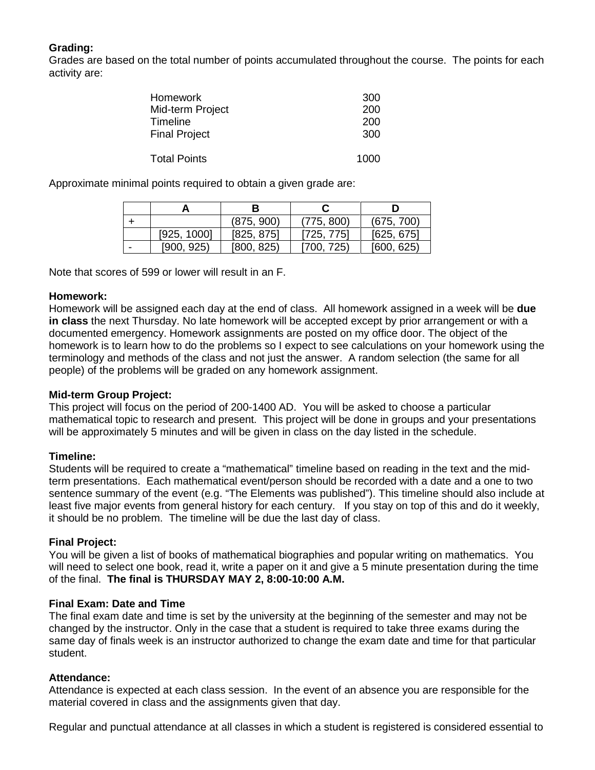# **Grading:**

Grades are based on the total number of points accumulated throughout the course. The points for each activity are:

| <b>Homework</b>      | 300  |
|----------------------|------|
| Mid-term Project     | 200  |
| Timeline             | 200  |
| <b>Final Project</b> | 300  |
| <b>Total Points</b>  | 1000 |

Approximate minimal points required to obtain a given grade are:

|   |             | В          |            |            |
|---|-------------|------------|------------|------------|
|   |             | (875, 900) | (775, 800) | (675, 700) |
|   | [925, 1000] | [825, 875] | [725, 775] | [625, 675] |
| - | [900, 925]  | [800, 825] | [700, 725) | [600, 625] |

Note that scores of 599 or lower will result in an F.

## **Homework:**

Homework will be assigned each day at the end of class. All homework assigned in a week will be **due in class** the next Thursday. No late homework will be accepted except by prior arrangement or with a documented emergency. Homework assignments are posted on my office door. The object of the homework is to learn how to do the problems so I expect to see calculations on your homework using the terminology and methods of the class and not just the answer. A random selection (the same for all people) of the problems will be graded on any homework assignment.

## **Mid-term Group Project:**

This project will focus on the period of 200-1400 AD. You will be asked to choose a particular mathematical topic to research and present. This project will be done in groups and your presentations will be approximately 5 minutes and will be given in class on the day listed in the schedule.

## **Timeline:**

Students will be required to create a "mathematical" timeline based on reading in the text and the midterm presentations. Each mathematical event/person should be recorded with a date and a one to two sentence summary of the event (e.g. "The Elements was published"). This timeline should also include at least five major events from general history for each century. If you stay on top of this and do it weekly, it should be no problem. The timeline will be due the last day of class.

## **Final Project:**

You will be given a list of books of mathematical biographies and popular writing on mathematics. You will need to select one book, read it, write a paper on it and give a 5 minute presentation during the time of the final. **The final is THURSDAY MAY 2, 8:00-10:00 A.M.**

## **Final Exam: Date and Time**

The final exam date and time is set by the university at the beginning of the semester and may not be changed by the instructor. Only in the case that a student is required to take three exams during the same day of finals week is an instructor authorized to change the exam date and time for that particular student.

#### **Attendance:**

Attendance is expected at each class session. In the event of an absence you are responsible for the material covered in class and the assignments given that day.

Regular and punctual attendance at all classes in which a student is registered is considered essential to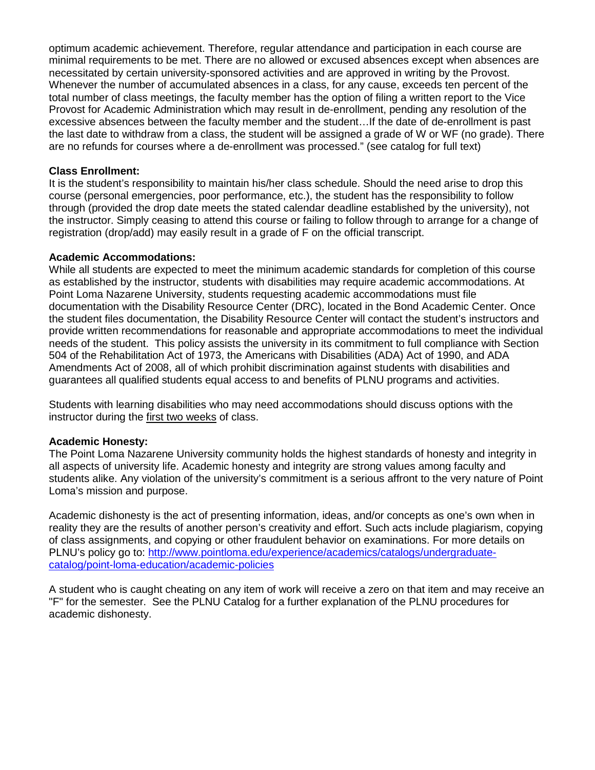optimum academic achievement. Therefore, regular attendance and participation in each course are minimal requirements to be met. There are no allowed or excused absences except when absences are necessitated by certain university-sponsored activities and are approved in writing by the Provost. Whenever the number of accumulated absences in a class, for any cause, exceeds ten percent of the total number of class meetings, the faculty member has the option of filing a written report to the Vice Provost for Academic Administration which may result in de-enrollment, pending any resolution of the excessive absences between the faculty member and the student…If the date of de-enrollment is past the last date to withdraw from a class, the student will be assigned a grade of W or WF (no grade). There are no refunds for courses where a de-enrollment was processed." (see catalog for full text)

#### **Class Enrollment:**

It is the student's responsibility to maintain his/her class schedule. Should the need arise to drop this course (personal emergencies, poor performance, etc.), the student has the responsibility to follow through (provided the drop date meets the stated calendar deadline established by the university), not the instructor. Simply ceasing to attend this course or failing to follow through to arrange for a change of registration (drop/add) may easily result in a grade of F on the official transcript.

#### **Academic Accommodations:**

While all students are expected to meet the minimum academic standards for completion of this course as established by the instructor, students with disabilities may require academic accommodations. At Point Loma Nazarene University, students requesting academic accommodations must file documentation with the Disability Resource Center (DRC), located in the Bond Academic Center. Once the student files documentation, the Disability Resource Center will contact the student's instructors and provide written recommendations for reasonable and appropriate accommodations to meet the individual needs of the student. This policy assists the university in its commitment to full compliance with Section 504 of the Rehabilitation Act of 1973, the Americans with Disabilities (ADA) Act of 1990, and ADA Amendments Act of 2008, all of which prohibit discrimination against students with disabilities and guarantees all qualified students equal access to and benefits of PLNU programs and activities.

Students with learning disabilities who may need accommodations should discuss options with the instructor during the first two weeks of class.

#### **Academic Honesty:**

The Point Loma Nazarene University community holds the highest standards of honesty and integrity in all aspects of university life. Academic honesty and integrity are strong values among faculty and students alike. Any violation of the university's commitment is a serious affront to the very nature of Point Loma's mission and purpose.

Academic dishonesty is the act of presenting information, ideas, and/or concepts as one's own when in reality they are the results of another person's creativity and effort. Such acts include plagiarism, copying of class assignments, and copying or other fraudulent behavior on examinations. For more details on PLNU's policy go to: [http://www.pointloma.edu/experience/academics/catalogs/undergraduate](http://www.pointloma.edu/experience/academics/catalogs/undergraduate-catalog/point-loma-education/academic-policies)[catalog/point-loma-education/academic-policies](http://www.pointloma.edu/experience/academics/catalogs/undergraduate-catalog/point-loma-education/academic-policies)

A student who is caught cheating on any item of work will receive a zero on that item and may receive an "F" for the semester. See the PLNU Catalog for a further explanation of the PLNU procedures for academic dishonesty.